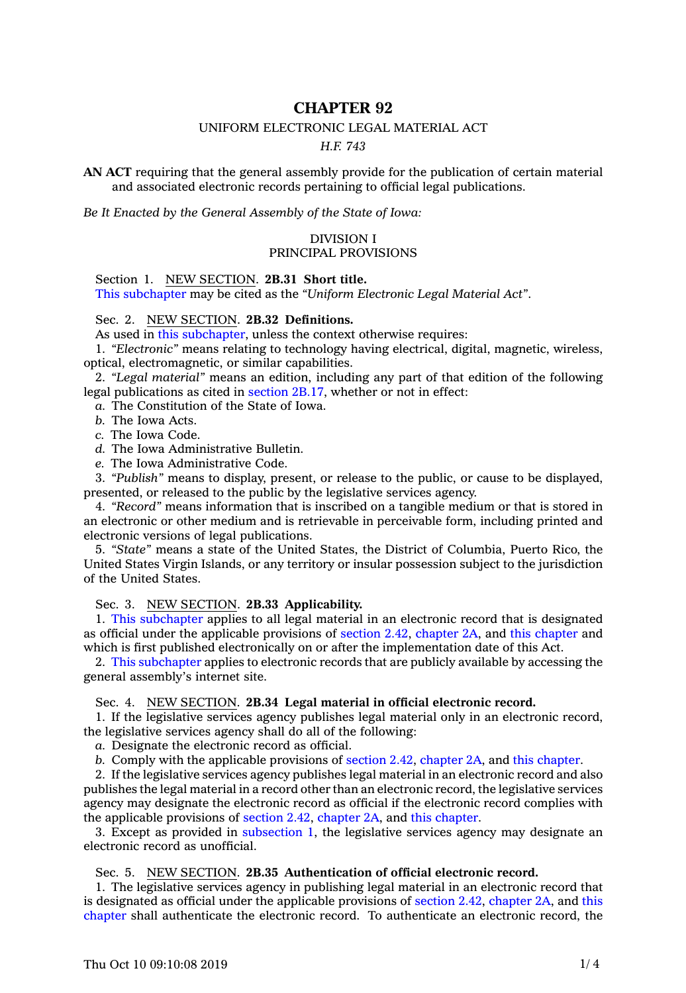# **CHAPTER 92**

# UNIFORM ELECTRONIC LEGAL MATERIAL ACT

*H.F. 743*

**AN ACT** requiring that the general assembly provide for the publication of certain material and associated electronic records pertaining to official legal publications.

*Be It Enacted by the General Assembly of the State of Iowa:*

## DIVISION I PRINCIPAL PROVISIONS

Section 1. NEW SECTION. **2B.31 Short title.**

This [subchapter](https://www.legis.iowa.gov/docs/code/2019/2B.pdf) may be cited as the *"Uniform Electronic Legal Material Act"*.

Sec. 2. NEW SECTION. **2B.32 Definitions.**

As used in this [subchapter](https://www.legis.iowa.gov/docs/code/2019/2B.pdf), unless the context otherwise requires:

1. *"Electronic"* means relating to technology having electrical, digital, magnetic, wireless, optical, electromagnetic, or similar capabilities.

2. *"Legal material"* means an edition, including any part of that edition of the following legal publications as cited in [section](https://www.legis.iowa.gov/docs/code/2019/2B.17.pdf) 2B.17, whether or not in effect:

*a.* The Constitution of the State of Iowa.

*b.* The Iowa Acts.

*c.* The Iowa Code.

*d.* The Iowa Administrative Bulletin.

*e.* The Iowa Administrative Code.

3. *"Publish"* means to display, present, or release to the public, or cause to be displayed, presented, or released to the public by the legislative services agency.

4. *"Record"* means information that is inscribed on <sup>a</sup> tangible medium or that is stored in an electronic or other medium and is retrievable in perceivable form, including printed and electronic versions of legal publications.

5. *"State"* means <sup>a</sup> state of the United States, the District of Columbia, Puerto Rico, the United States Virgin Islands, or any territory or insular possession subject to the jurisdiction of the United States.

Sec. 3. NEW SECTION. **2B.33 Applicability.**

1. This [subchapter](https://www.legis.iowa.gov/docs/code/2019/2B.pdf) applies to all legal material in an electronic record that is designated as official under the applicable provisions of [section](https://www.legis.iowa.gov/docs/code/2019/2.42.pdf) 2.42, [chapter](https://www.legis.iowa.gov/docs/code/2019/2A.pdf) 2A, and this [chapter](https://www.legis.iowa.gov/docs/code/2019/2B.pdf) and which is first published electronically on or after the implementation date of this Act.

2. This [subchapter](https://www.legis.iowa.gov/docs/code/2019/2B.pdf) applies to electronic records that are publicly available by accessing the general assembly's internet site.

# Sec. 4. NEW SECTION. **2B.34 Legal material in official electronic record.**

1. If the legislative services agency publishes legal material only in an electronic record, the legislative services agency shall do all of the following:

*a.* Designate the electronic record as official.

*b.* Comply with the applicable provisions of [section](https://www.legis.iowa.gov/docs/code/2019/2.42.pdf) 2.42, [chapter](https://www.legis.iowa.gov/docs/code/2019/2A.pdf) 2A, and this [chapter](https://www.legis.iowa.gov/docs/code/2019/2B.pdf).

2. If the legislative services agency publishes legal material in an electronic record and also publishes the legal material in <sup>a</sup> record other than an electronic record, the legislative services agency may designate the electronic record as official if the electronic record complies with the applicable provisions of [section](https://www.legis.iowa.gov/docs/code/2019/2.42.pdf) 2.42, [chapter](https://www.legis.iowa.gov/docs/code/2019/2A.pdf) 2A, and this [chapter](https://www.legis.iowa.gov/docs/code/2019/2B.pdf).

3. Except as provided in [subsection](https://www.legis.iowa.gov/docs/code/2019/2B.34.pdf) 1, the legislative services agency may designate an electronic record as unofficial.

## Sec. 5. NEW SECTION. **2B.35 Authentication of official electronic record.**

1. The legislative services agency in publishing legal material in an electronic record that is designated as official under the applicable provisions of [section](https://www.legis.iowa.gov/docs/code/2019/2.42.pdf) 2.42, [chapter](https://www.legis.iowa.gov/docs/code/2019/2A.pdf) 2A, and [this](https://www.legis.iowa.gov/docs/code/2019/2B.pdf) [chapter](https://www.legis.iowa.gov/docs/code/2019/2B.pdf) shall authenticate the electronic record. To authenticate an electronic record, the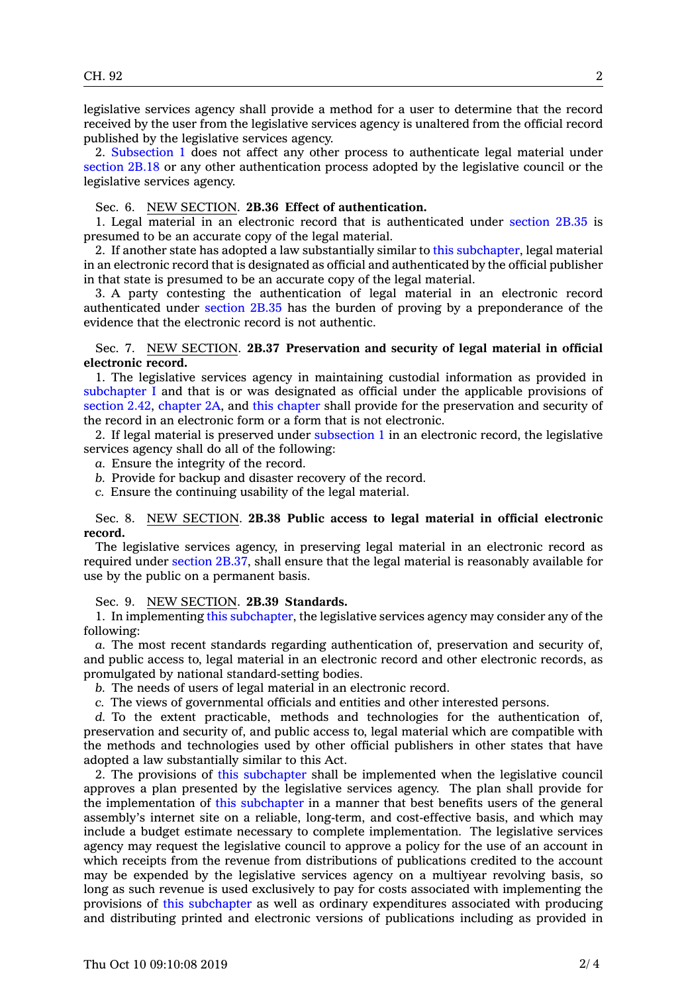legislative services agency shall provide <sup>a</sup> method for <sup>a</sup> user to determine that the record received by the user from the legislative services agency is unaltered from the official record published by the legislative services agency.

2. [Subsection](https://www.legis.iowa.gov/docs/code/2019/2B.35.pdf) 1 does not affect any other process to authenticate legal material under [section](https://www.legis.iowa.gov/docs/code/2019/2B.18.pdf) 2B.18 or any other authentication process adopted by the legislative council or the legislative services agency.

#### Sec. 6. NEW SECTION. **2B.36 Effect of authentication.**

1. Legal material in an electronic record that is authenticated under [section](https://www.legis.iowa.gov/docs/code/2019/2B.35.pdf) 2B.35 is presumed to be an accurate copy of the legal material.

2. If another state has adopted <sup>a</sup> law substantially similar to this [subchapter](https://www.legis.iowa.gov/docs/code/2019/2B.pdf), legal material in an electronic record that is designated as official and authenticated by the official publisher in that state is presumed to be an accurate copy of the legal material.

3. A party contesting the authentication of legal material in an electronic record authenticated under [section](https://www.legis.iowa.gov/docs/code/2019/2B.35.pdf) 2B.35 has the burden of proving by <sup>a</sup> preponderance of the evidence that the electronic record is not authentic.

### Sec. 7. NEW SECTION. **2B.37 Preservation and security of legal material in official electronic record.**

1. The legislative services agency in maintaining custodial information as provided in [subchapter](https://www.legis.iowa.gov/docs/code/2019/2B.pdf) I and that is or was designated as official under the applicable provisions of [section](https://www.legis.iowa.gov/docs/code/2019/2.42.pdf) 2.42, [chapter](https://www.legis.iowa.gov/docs/code/2019/2A.pdf) 2A, and this [chapter](https://www.legis.iowa.gov/docs/code/2019/2B.pdf) shall provide for the preservation and security of the record in an electronic form or <sup>a</sup> form that is not electronic.

2. If legal material is preserved under [subsection](https://www.legis.iowa.gov/docs/code/2019/2B.37.pdf) 1 in an electronic record, the legislative services agency shall do all of the following:

- *a.* Ensure the integrity of the record.
- *b.* Provide for backup and disaster recovery of the record.
- *c.* Ensure the continuing usability of the legal material.

### Sec. 8. NEW SECTION. **2B.38 Public access to legal material in official electronic record.**

The legislative services agency, in preserving legal material in an electronic record as required under [section](https://www.legis.iowa.gov/docs/code/2019/2B.37.pdf) 2B.37, shall ensure that the legal material is reasonably available for use by the public on <sup>a</sup> permanent basis.

Sec. 9. NEW SECTION. **2B.39 Standards.**

1. In implementing this [subchapter](https://www.legis.iowa.gov/docs/code/2019/2B.pdf), the legislative services agency may consider any of the following:

*a.* The most recent standards regarding authentication of, preservation and security of, and public access to, legal material in an electronic record and other electronic records, as promulgated by national standard-setting bodies.

*b.* The needs of users of legal material in an electronic record.

*c.* The views of governmental officials and entities and other interested persons.

*d.* To the extent practicable, methods and technologies for the authentication of, preservation and security of, and public access to, legal material which are compatible with the methods and technologies used by other official publishers in other states that have adopted <sup>a</sup> law substantially similar to this Act.

2. The provisions of this [subchapter](https://www.legis.iowa.gov/docs/code/2019/2B.pdf) shall be implemented when the legislative council approves <sup>a</sup> plan presented by the legislative services agency. The plan shall provide for the implementation of this [subchapter](https://www.legis.iowa.gov/docs/code/2019/2B.pdf) in <sup>a</sup> manner that best benefits users of the general assembly's internet site on <sup>a</sup> reliable, long-term, and cost-effective basis, and which may include <sup>a</sup> budget estimate necessary to complete implementation. The legislative services agency may request the legislative council to approve <sup>a</sup> policy for the use of an account in which receipts from the revenue from distributions of publications credited to the account may be expended by the legislative services agency on <sup>a</sup> multiyear revolving basis, so long as such revenue is used exclusively to pay for costs associated with implementing the provisions of this [subchapter](https://www.legis.iowa.gov/docs/code/2019/2B.pdf) as well as ordinary expenditures associated with producing and distributing printed and electronic versions of publications including as provided in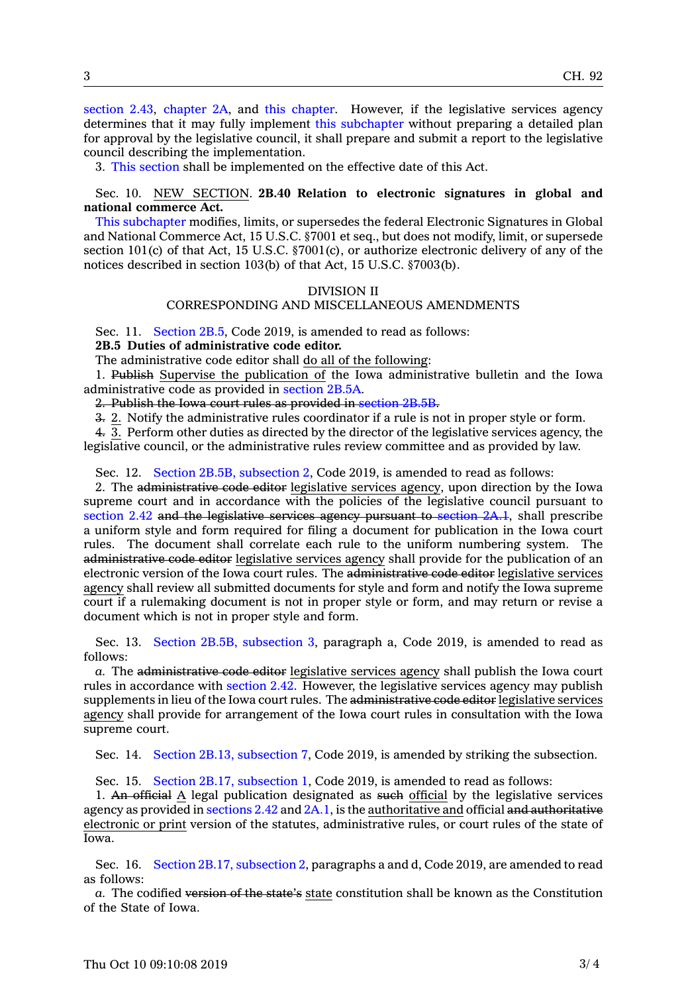[section](https://www.legis.iowa.gov/docs/code/2019/2.43.pdf) 2.43, [chapter](https://www.legis.iowa.gov/docs/code/2019/2A.pdf) 2A, and this [chapter](https://www.legis.iowa.gov/docs/code/2019/2B.pdf). However, if the legislative services agency determines that it may fully implement this [subchapter](https://www.legis.iowa.gov/docs/code/2019/2B.pdf) without preparing <sup>a</sup> detailed plan for approval by the legislative council, it shall prepare and submit <sup>a</sup> report to the legislative council describing the implementation.

3. This [section](https://www.legis.iowa.gov/docs/code/2019/2B.39.pdf) shall be implemented on the effective date of this Act.

## Sec. 10. NEW SECTION. **2B.40 Relation to electronic signatures in global and national commerce Act.**

This [subchapter](https://www.legis.iowa.gov/docs/code/2019/2B.pdf) modifies, limits, or supersedes the federal Electronic Signatures in Global and National Commerce Act, 15 U.S.C. §7001 et seq., but does not modify, limit, or supersede section 101(c) of that Act, 15 U.S.C. §7001(c), or authorize electronic delivery of any of the notices described in section 103(b) of that Act, 15 U.S.C. §7003(b).

#### DIVISION II

#### CORRESPONDING AND MISCELLANEOUS AMENDMENTS

Sec. 11. [Section](https://www.legis.iowa.gov/docs/code/2019/2B.5.pdf) 2B.5, Code 2019, is amended to read as follows:

**2B.5 Duties of administrative code editor.**

The administrative code editor shall do all of the following:

1. Publish Supervise the publication of the Iowa administrative bulletin and the Iowa administrative code as provided in [section](https://www.legis.iowa.gov/docs/code/2019/2B.5A.pdf) 2B.5A.

2. Publish the Iowa court rules as provided in [section](https://www.legis.iowa.gov/docs/code/2019/2B.5B.pdf) 2B.5B.

3. 2. Notify the administrative rules coordinator if <sup>a</sup> rule is not in proper style or form.

4. 3. Perform other duties as directed by the director of the legislative services agency, the legislative council, or the administrative rules review committee and as provided by law.

Sec. 12. Section 2B.5B, [subsection](https://www.legis.iowa.gov/docs/code/2019/2B.5B.pdf) 2, Code 2019, is amended to read as follows:

2. The administrative code editor legislative services agency, upon direction by the Iowa supreme court and in accordance with the policies of the legislative council pursuant to [section](https://www.legis.iowa.gov/docs/code/2019/2.42.pdf) 2.42 and the legislative services agency pursuant to [section](https://www.legis.iowa.gov/docs/code/2019/2A.1.pdf) 2A.1, shall prescribe <sup>a</sup> uniform style and form required for filing <sup>a</sup> document for publication in the Iowa court rules. The document shall correlate each rule to the uniform numbering system. The administrative code editor legislative services agency shall provide for the publication of an electronic version of the Iowa court rules. The administrative code editor legislative services agency shall review all submitted documents for style and form and notify the Iowa supreme court if <sup>a</sup> rulemaking document is not in proper style or form, and may return or revise <sup>a</sup> document which is not in proper style and form.

Sec. 13. Section 2B.5B, [subsection](https://www.legis.iowa.gov/docs/code/2019/2B.5B.pdf) 3, paragraph a, Code 2019, is amended to read as follows:

*a.* The administrative code editor legislative services agency shall publish the Iowa court rules in accordance with [section](https://www.legis.iowa.gov/docs/code/2019/2.42.pdf) 2.42. However, the legislative services agency may publish supplements in lieu of the Iowa court rules. The administrative code editor legislative services agency shall provide for arrangement of the Iowa court rules in consultation with the Iowa supreme court.

Sec. 14. Section 2B.13, [subsection](https://www.legis.iowa.gov/docs/code/2019/2B.13.pdf) 7, Code 2019, is amended by striking the subsection.

Sec. 15. Section 2B.17, [subsection](https://www.legis.iowa.gov/docs/code/2019/2B.17.pdf) 1, Code 2019, is amended to read as follows:

1. An official A legal publication designated as such official by the legislative services agency as provided in [sections](https://www.legis.iowa.gov/docs/code/2019/2.42.pdf) 2.42 and [2A.1](https://www.legis.iowa.gov/docs/code/2019/2A.1.pdf), is the authoritative and official and authoritative electronic or print version of the statutes, administrative rules, or court rules of the state of Iowa.

Sec. 16. Section 2B.17, [subsection](https://www.legis.iowa.gov/docs/code/2019/2B.17.pdf) 2, paragraphs <sup>a</sup> and d, Code 2019, are amended to read as follows:

*a.* The codified version of the state's state constitution shall be known as the Constitution of the State of Iowa.